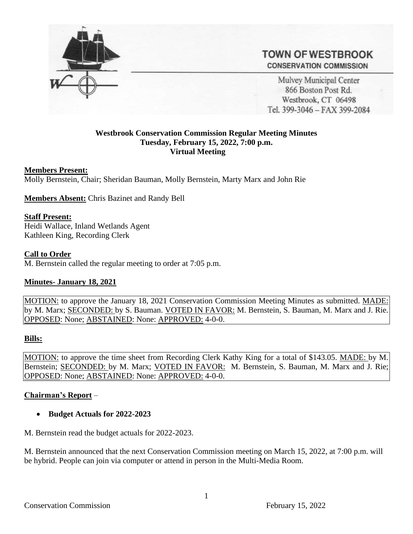

**TOWN OF WESTBROOK CONSERVATION COMMISSION** 

Mulvey Municipal Center 866 Boston Post Rd. Westbrook, CT 06498 Tel. 399-3046 - FAX 399-2084

### **Westbrook Conservation Commission Regular Meeting Minutes Tuesday, February 15, 2022, 7:00 p.m. Virtual Meeting**

### **Members Present:**

Molly Bernstein, Chair; Sheridan Bauman, Molly Bernstein, Marty Marx and John Rie

**Members Absent:** Chris Bazinet and Randy Bell

#### **Staff Present:**

Heidi Wallace, Inland Wetlands Agent Kathleen King, Recording Clerk

#### **Call to Order**

M. Bernstein called the regular meeting to order at 7:05 p.m.

### **Minutes- January 18, 2021**

MOTION: to approve the January 18, 2021 Conservation Commission Meeting Minutes as submitted. MADE: by M. Marx; SECONDED: by S. Bauman. VOTED IN FAVOR: M. Bernstein, S. Bauman, M. Marx and J. Rie. OPPOSED: None; ABSTAINED: None: APPROVED: 4-0-0.

#### **Bills:**

MOTION: to approve the time sheet from Recording Clerk Kathy King for a total of \$143.05. MADE: by M. Bernstein; SECONDED: by M. Marx; VOTED IN FAVOR: M. Bernstein, S. Bauman, M. Marx and J. Rie; OPPOSED: None; ABSTAINED: None: APPROVED: 4-0-0.

### **Chairman's Report** –

• **Budget Actuals for 2022-2023**

M. Bernstein read the budget actuals for 2022-2023.

M. Bernstein announced that the next Conservation Commission meeting on March 15, 2022, at 7:00 p.m. will be hybrid. People can join via computer or attend in person in the Multi-Media Room.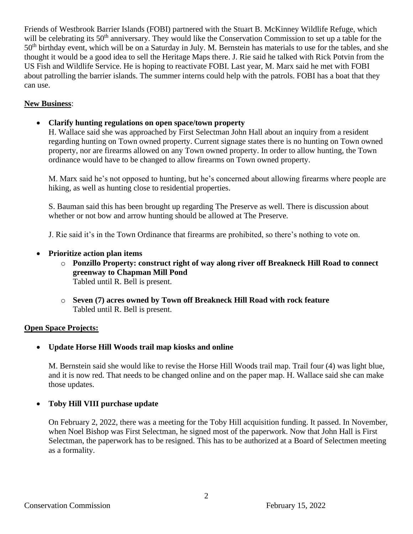Friends of Westbrook Barrier Islands (FOBI) partnered with the Stuart B. McKinney Wildlife Refuge, which will be celebrating its  $50<sup>th</sup>$  anniversary. They would like the Conservation Commission to set up a table for the 50<sup>th</sup> birthday event, which will be on a Saturday in July. M. Bernstein has materials to use for the tables, and she thought it would be a good idea to sell the Heritage Maps there. J. Rie said he talked with Rick Potvin from the US Fish and Wildlife Service. He is hoping to reactivate FOBI. Last year, M. Marx said he met with FOBI about patrolling the barrier islands. The summer interns could help with the patrols. FOBI has a boat that they can use.

# **New Business**:

• **Clarify hunting regulations on open space/town property**

H. Wallace said she was approached by First Selectman John Hall about an inquiry from a resident regarding hunting on Town owned property. Current signage states there is no hunting on Town owned property, nor are firearms allowed on any Town owned property. In order to allow hunting, the Town ordinance would have to be changed to allow firearms on Town owned property.

M. Marx said he's not opposed to hunting, but he's concerned about allowing firearms where people are hiking, as well as hunting close to residential properties.

S. Bauman said this has been brought up regarding The Preserve as well. There is discussion about whether or not bow and arrow hunting should be allowed at The Preserve.

J. Rie said it's in the Town Ordinance that firearms are prohibited, so there's nothing to vote on.

- **Prioritize action plan items**
	- o **Ponzillo Property: construct right of way along river off Breakneck Hill Road to connect greenway to Chapman Mill Pond** Tabled until R. Bell is present.
	- o **Seven (7) acres owned by Town off Breakneck Hill Road with rock feature** Tabled until R. Bell is present.

# **Open Space Projects:**

• **Update Horse Hill Woods trail map kiosks and online**

M. Bernstein said she would like to revise the Horse Hill Woods trail map. Trail four (4) was light blue, and it is now red. That needs to be changed online and on the paper map. H. Wallace said she can make those updates.

# • **Toby Hill VIII purchase update**

On February 2, 2022, there was a meeting for the Toby Hill acquisition funding. It passed. In November, when Noel Bishop was First Selectman, he signed most of the paperwork. Now that John Hall is First Selectman, the paperwork has to be resigned. This has to be authorized at a Board of Selectmen meeting as a formality.